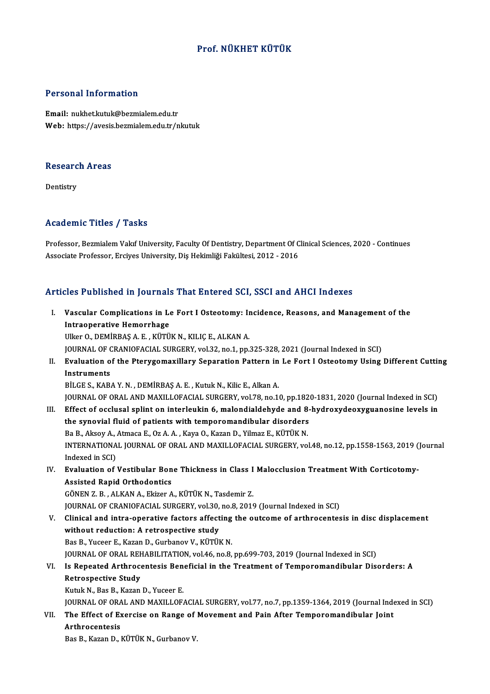#### Prof.NÜKHET KÜTÜK

#### Personal Information

Email: nukhet.kutuk@bezmialem.edu.tr Web: https://avesis.bezmialem.edu.tr/nkutuk

# research<br>Research Areas <mark>Researc</mark><br>Dentistry

# Academic Titles / Tasks

Professor, Bezmialem Vakıf University, Faculty Of Dentistry, Department Of Clinical Sciences, 2020 - Continues Associate Professor, Erciyes University, Diş Hekimliği Fakültesi, 2012 - 2016

#### Articles Published in Journals That Entered SCI, SSCI and AHCI Indexes

rticles Published in Journals That Entered SCI, SSCI and AHCI Indexes<br>I. Vascular Complications in Le Fort I Osteotomy: Incidence, Reasons, and Management of the Intraoperative Hemorrhage<br>Intraoperative Hemorrhage<br>Illice O. DEMIPPAS A. E. Kirrii Vascular Complications in Le Fort I Osteotomy: In<br>Intraoperative Hemorrhage<br>Ulker O., DEMİRBAŞ A. E. , KÜTÜK N., KILIÇ E., ALKAN A.<br>JOUPNAL OE CRANJOFAÇIAL SURCERY vel 32 no 1 nn. Intraoperative Hemorrhage<br>Ulker O., DEMİRBAŞ A. E. , KÜTÜK N., KILIÇ E., ALKAN A.<br>JOURNAL OF CRANIOFACIAL SURGERY, vol.32, no.1, pp.325-328, 2021 (Journal Indexed in SCI) Ulker O., DEMIRBAŞ A. E. , KÜTÜK N., KILIÇ E., ALKAN A.<br>JOURNAL OF CRANIOFACIAL SURGERY, vol.32, no.1, pp.325-328, 2021 (Journal Indexed in SCI)<br>II. Evaluation of the Pterygomaxillary Separation Pattern in Le Fort I Os **JOURNAL OF C**<br>Evaluation of<br>Instruments<br>P<sup>it CES KAP</sub></sup> Evaluation of the Pterygomaxillary Separation Pattern in<br>Instruments<br>BİLGE S., KABA Y.N., DEMİRBAŞ A.E., Kutuk N., Kilic E., Alkan A.<br>JOUPMAL OF OPAL AND MAYU LOFACIAL SURCERY vel 79 no 14 Instruments<br>BİLGE S., KABA Y. N. , DEMİRBAŞ A. E. , Kutuk N., Kilic E., Alkan A.<br>JOURNAL OF ORAL AND MAXILLOFACIAL SURGERY, vol.78, no.10, pp.1820-1831, 2020 (Journal Indexed in SCI) BİLGE S., KABA Y. N. , DEMİRBAŞ A. E. , Kutuk N., Kilic E., Alkan A.<br>JOURNAL OF ORAL AND MAXILLOFACIAL SURGERY, vol.78, no.10, pp.1820-1831, 2020 (Journal Indexed in SCI)<br>III. Effect of occlusal splint on interleukin 6, ma JOURNAL OF ORAL AND MAXILLOFACIAL SURGERY, vol.78, no.10, pp.182<br>Effect of occlusal splint on interleukin 6, malondialdehyde and 8-<br>the synovial fluid of patients with temporomandibular disorders<br>Be B. Alrey A. Atmage E. O Effect of occlusal splint on interleukin 6, malondialdehyde and 8<br>the synovial fluid of patients with temporomandibular disorders<br>Ba B., Aksoy A., Atmaca E., Oz A. A. , Kaya O., Kazan D., Yilmaz E., KÜTÜK N.<br>INTERNATIONAL the synovial fluid of patients with temporomandibular disorders<br>Ba B., Aksoy A., Atmaca E., Oz A. A. , Kaya O., Kazan D., Yilmaz E., KÜTÜK N.<br>INTERNATIONAL JOURNAL OF ORAL AND MAXILLOFACIAL SURGERY, vol.48, no.12, pp.1558-Ba B., Aksoy A., .<br>INTERNATIONA<br>Indexed in SCI)<br>Evaluation of INTERNATIONAL JOURNAL OF ORAL AND MAXILLOFACIAL SURGERY, vol.48, no.12, pp.1558-1563, 2019 (<br>Indexed in SCI)<br>IV. Evaluation of Vestibular Bone Thickness in Class I Malocclusion Treatment With Corticotomy-<br>Assisted Banid Or Indexed in SCI)<br>IV. Evaluation of Vestibular Bone Thickness in Class I Malocclusion Treatment With Corticotomy-<br>Assisted Rapid Orthodontics GÖNEN Z.B., ALKAN A., Ekizer A., KÜTÜK N., Tasdemir Z. JOURNAL OF CRANIOFACIAL SURGERY, vol.30, no.8, 2019 (Journal Indexed in SCI) GÖNEN Z. B. , ALKAN A., Ekizer A., KÜTÜK N., Tasdemir Z.<br>JOURNAL OF CRANIOFACIAL SURGERY, vol.30, no.8, 2019 (Journal Indexed in SCI)<br>V. Clinical and intra-operative factors affecting the outcome of arthrocentesis in disc JOURNAL OF CRANIOFACIAL SURGERY, vol.30,<br>Clinical and intra-operative factors affect<br>without reduction: A retrospective study<br>Pas P. Vusser E. Karan D. Curbanev V. Kürül without reduction: A retrospective study<br>Bas B., Yuceer E., Kazan D., Gurbanov V., KÜTÜK N. without reduction: A retrospective study<br>Bas B., Yuceer E., Kazan D., Gurbanov V., KÜTÜK N.<br>JOURNAL OF ORAL REHABILITATION, vol.46, no.8, pp.699-703, 2019 (Journal Indexed in SCI)<br>Is Banested Arthrosentesis Beneficial in t Bas B., Yuceer E., Kazan D., Gurbanov V., KÜTÜK N.<br>JOURNAL OF ORAL REHABILITATION, vol.46, no.8, pp.699-703, 2019 (Journal Indexed in SCI)<br>VI. Is Repeated Arthrocentesis Beneficial in the Treatment of Temporomandibular Dis **JOURNAL OF ORAL REF**<br>Is Repeated Arthroce<br>Retrospective Study<br>Kutuk N. Bes B. Karan VI. Is Repeated Arthrocentesis Beneficial in the Treatment of Temporomandibular Disorders: A<br>Retrospective Study<br>Kutuk N., Bas B., Kazan D., Yuceer E. Retrospective Study<br>Kutuk N., Bas B., Kazan D., Yuceer E.<br>JOURNAL OF ORAL AND MAXILLOFACIAL SURGERY, vol.77, no.7, pp.1359-1364, 2019 (Journal Indexed in SCI)<br>The Effect of Exergiae on Bange of Moyement and Bein After Temp Kutuk N., Bas B., Kazan D., Yuceer E.<br>JOURNAL OF ORAL AND MAXILLOFACIAL SURGERY, vol.77, no.7, pp.1359-1364, 2019 (Journal Inde<br>VII. The Effect of Exercise on Range of Movement and Pain After Temporomandibular Joint **JOURNAL OF ORA<br>The Effect of Ex<br>Arthrocentesis**<br>Pee P. Kegen D. J The Effect of Exercise on Range of<br>Arthrocentesis<br>Bas B., Kazan D., KÜTÜK N., Gurbanov V.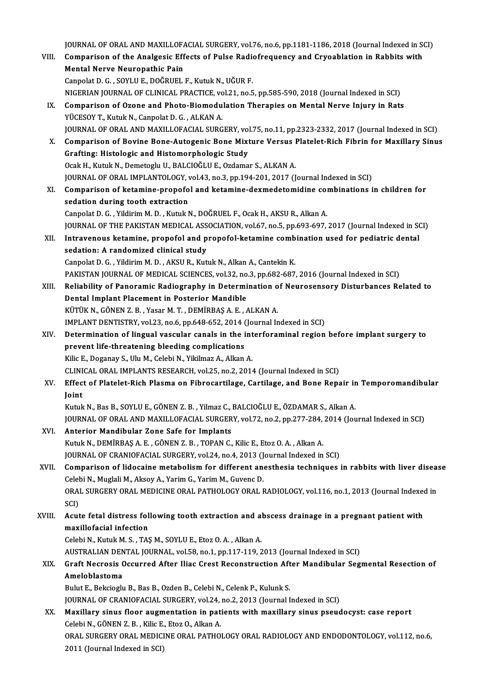JOURNAL OF ORAL AND MAXILLOFACIAL SURGERY, vol.76, no.6, pp.1181-1186, 2018 (Journal Indexed in SCI)<br>Companison of the Anglassia Effects of Pulse Bodiefrequency and Crysophetion in Bobbits with

| VIII.  | JOURNAL OF ORAL AND MAXILLOFACIAL SURGERY, vol.76, no.6, pp.1181-1186, 2018 (Journal Indexed in SCI)<br>Comparison of the Analgesic Effects of Pulse Radiofrequency and Cryoablation in Rabbits with |
|--------|------------------------------------------------------------------------------------------------------------------------------------------------------------------------------------------------------|
|        | Mental Nerve Neuropathic Pain<br>Canpolat D. G., SOYLU E., DOĞRUEL F., Kutuk N., UĞUR F.                                                                                                             |
|        | NIGERIAN JOURNAL OF CLINICAL PRACTICE, vol.21, no.5, pp.585-590, 2018 (Journal Indexed in SCI)                                                                                                       |
| IX.    | Comparison of Ozone and Photo-Biomodulation Therapies on Mental Nerve Injury in Rats<br>YÜCESOY T., Kutuk N., Canpolat D. G., ALKAN A.                                                               |
|        | JOURNAL OF ORAL AND MAXILLOFACIAL SURGERY, vol.75, no.11, pp.2323-2332, 2017 (Journal Indexed in SCI)                                                                                                |
| X.     | Comparison of Bovine Bone-Autogenic Bone Mixture Versus Platelet-Rich Fibrin for Maxillary Sinus<br>Grafting: Histologic and Histomorphologic Study                                                  |
|        | Ocak H., Kutuk N., Demetoglu U., BALCIOĞLU E., Ozdamar S., ALKAN A.                                                                                                                                  |
|        | JOURNAL OF ORAL IMPLANTOLOGY, vol.43, no.3, pp.194-201, 2017 (Journal Indexed in SCI)                                                                                                                |
| XI.    | Comparison of ketamine-propofol and ketamine-dexmedetomidine combinations in children for                                                                                                            |
|        | sedation during tooth extraction                                                                                                                                                                     |
|        | Canpolat D. G., Yildirim M. D., Kutuk N., DOĞRUEL F., Ocak H., AKSU R., Alkan A.                                                                                                                     |
|        | JOURNAL OF THE PAKISTAN MEDICAL ASSOCIATION, vol.67, no.5, pp.693-697, 2017 (Journal Indexed in SCI)                                                                                                 |
| XII.   | Intravenous ketamine, propofol and propofol-ketamine combination used for pediatric dental                                                                                                           |
|        | sedation: A randomized clinical study                                                                                                                                                                |
|        | Canpolat D. G., Yildirim M. D., AKSU R., Kutuk N., Alkan A., Cantekin K.                                                                                                                             |
|        | PAKISTAN JOURNAL OF MEDICAL SCIENCES, vol.32, no.3, pp.682-687, 2016 (Journal Indexed in SCI)                                                                                                        |
| XIII.  | Reliability of Panoramic Radiography in Determination of Neurosensory Disturbances Related to                                                                                                        |
|        | Dental Implant Placement in Posterior Mandible                                                                                                                                                       |
|        | KÜTÜK N., GÖNEN Z. B., Yasar M. T., DEMİRBAŞ A. E., ALKAN A.                                                                                                                                         |
| XIV.   | IMPLANT DENTISTRY, vol.23, no.6, pp.648-652, 2014 (Journal Indexed in SCI)<br>Determination of lingual vascular canals in the interforaminal region before implant surgery to                        |
|        | prevent life-threatening bleeding complications                                                                                                                                                      |
|        | Kilic E., Doganay S., Ulu M., Celebi N., Yikilmaz A., Alkan A.                                                                                                                                       |
|        | CLINICAL ORAL IMPLANTS RESEARCH, vol.25, no.2, 2014 (Journal Indexed in SCI)                                                                                                                         |
| XV.    | Effect of Platelet-Rich Plasma on Fibrocartilage, Cartilage, and Bone Repair in Temporomandibular                                                                                                    |
|        | <b>Ioint</b>                                                                                                                                                                                         |
|        | Kutuk N., Bas B., SOYLU E., GÖNEN Z. B., Yilmaz C., BALCIOĞLU E., ÖZDAMAR S., Alkan A.                                                                                                               |
| XVI.   | JOURNAL OF ORAL AND MAXILLOFACIAL SURGERY, vol.72, no.2, pp.277-284, 2014 (Journal Indexed in SCI)<br>Anterior Mandibular Zone Safe for Implants                                                     |
|        | Kutuk N., DEMİRBAŞ A. E., GÖNEN Z. B., TOPAN C., Kilic E., Etoz O. A., Alkan A.                                                                                                                      |
|        | JOURNAL OF CRANIOFACIAL SURGERY, vol.24, no.4, 2013 (Journal Indexed in SCI)                                                                                                                         |
| XVII.  | Comparison of lidocaine metabolism for different anesthesia techniques in rabbits with liver disease                                                                                                 |
|        | Celebi N., Muglali M., Aksoy A., Yarim G., Yarim M., Guvenc D.                                                                                                                                       |
|        | ORAL SURGERY ORAL MEDICINE ORAL PATHOLOGY ORAL RADIOLOGY, vol.116, no.1, 2013 (Journal Indexed in                                                                                                    |
|        | SCI)                                                                                                                                                                                                 |
| XVIII. | Acute fetal distress following tooth extraction and abscess drainage in a pregnant patient with                                                                                                      |
|        | maxillofacial infection                                                                                                                                                                              |
|        | Celebi N., Kutuk M. S., TAŞ M., SOYLU E., Etoz O. A., Alkan A.                                                                                                                                       |
|        | AUSTRALIAN DENTAL JOURNAL, vol 58, no.1, pp.117-119, 2013 (Journal Indexed in SCI)                                                                                                                   |
| XIX.   | Graft Necrosis Occurred After Iliac Crest Reconstruction After Mandibular Segmental Resection of                                                                                                     |
|        | Ameloblastoma                                                                                                                                                                                        |
|        | Bulut E., Bekcioglu B., Bas B., Ozden B., Celebi N., Celenk P., Kulunk S.                                                                                                                            |
|        | JOURNAL OF CRANIOFACIAL SURGERY, vol.24, no.2, 2013 (Journal Indexed in SCI)                                                                                                                         |
| XX.    | Maxillary sinus floor augmentation in patients with maxillary sinus pseudocyst: case report                                                                                                          |
|        | Celebi N., GÖNEN Z. B., Kilic E., Etoz O., Alkan A.                                                                                                                                                  |
|        | ORAL SURGERY ORAL MEDICINE ORAL PATHOLOGY ORAL RADIOLOGY AND ENDODONTOLOGY, vol.112, no.6,                                                                                                           |
|        | 2011 (Journal Indexed in SCI)                                                                                                                                                                        |
|        |                                                                                                                                                                                                      |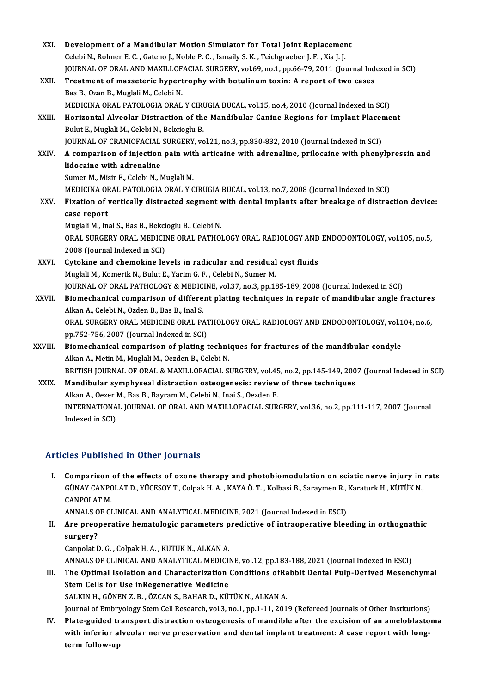| XXI.        | Development of a Mandibular Motion Simulator for Total Joint Replacement                                 |
|-------------|----------------------------------------------------------------------------------------------------------|
|             | Celebi N., Rohner E. C., Gateno J., Noble P. C., Ismaily S. K., Teichgraeber J. F., Xia J. J.            |
|             | JOURNAL OF ORAL AND MAXILLOFACIAL SURGERY, vol.69, no.1, pp.66-79, 2011 (Journal Indexed in SCI)         |
| XXII.       | Treatment of masseteric hypertrophy with botulinum toxin: A report of two cases                          |
|             | Bas B., Ozan B., Muglali M., Celebi N.                                                                   |
|             | MEDICINA ORAL PATOLOGIA ORAL Y CIRUGIA BUCAL, vol.15, no.4, 2010 (Journal Indexed in SCI)                |
| XXIII.      | Horizontal Alveolar Distraction of the Mandibular Canine Regions for Implant Placement                   |
|             | Bulut E., Muglali M., Celebi N., Bekcioglu B.                                                            |
|             | JOURNAL OF CRANIOFACIAL SURGERY, vol.21, no.3, pp.830-832, 2010 (Journal Indexed in SCI)                 |
| <b>XXIV</b> | A comparison of injection pain with articaine with adrenaline, prilocaine with phenylpressin and         |
|             | lidocaine with adrenaline                                                                                |
|             | Sumer M., Misir F., Celebi N., Muglali M.                                                                |
|             | MEDICINA ORAL PATOLOGIA ORAL Y CIRUGIA BUCAL, vol.13, no.7, 2008 (Journal Indexed in SCI)                |
| XXV.        | Fixation of vertically distracted segment with dental implants after breakage of distraction device:     |
|             | case report                                                                                              |
|             | Muglali M., Inal S., Bas B., Bekcioglu B., Celebi N.                                                     |
|             | ORAL SURGERY ORAL MEDICINE ORAL PATHOLOGY ORAL RADIOLOGY AND ENDODONTOLOGY, vol.105, no.5,               |
|             | 2008 (Journal Indexed in SCI)                                                                            |
| XXVI.       | Cytokine and chemokine levels in radicular and residual cyst fluids                                      |
|             | Muglali M., Komerik N., Bulut E., Yarim G. F., Celebi N., Sumer M.                                       |
|             | JOURNAL OF ORAL PATHOLOGY & MEDICINE, vol.37, no.3, pp.185-189, 2008 (Journal Indexed in SCI)            |
| XXVII.      | Biomechanical comparison of different plating techniques in repair of mandibular angle fractures         |
|             | Alkan A., Celebi N., Ozden B., Bas B., Inal S.                                                           |
|             | ORAL SURGERY ORAL MEDICINE ORAL PATHOLOGY ORAL RADIOLOGY AND ENDODONTOLOGY, vol.104, no.6,               |
|             | pp.752-756, 2007 (Journal Indexed in SCI)                                                                |
| XXVIII.     | Biomechanical comparison of plating techniques for fractures of the mandibular condyle                   |
|             | Alkan A., Metin M., Muglali M., Oezden B., Celebi N.                                                     |
|             | BRITISH JOURNAL OF ORAL & MAXILLOFACIAL SURGERY, vol.45, no.2, pp.145-149, 2007 (Journal Indexed in SCI) |
| XXIX.       | Mandibular symphyseal distraction osteogenesis: review of three techniques                               |
|             | Alkan A., Oezer M., Bas B., Bayram M., Celebi N., Inai S., Oezden B.                                     |
|             | INTERNATIONAL JOURNAL OF ORAL AND MAXILLOFACIAL SURGERY, vol.36, no.2, pp.111-117, 2007 (Journal         |
|             | Indexed in SCI)                                                                                          |

## Articles Published in Other Journals

I. Comparison of the effects of ozone therapy and photobiomodulation on sciatic nerve injury in rats SEET ABSISHED IN SENST JOUTHUIS<br>Comparison of the effects of ozone therapy and photobiomodulation on sciatic nerve injury in<br>GÜNAY CANPOLAT D., YÜCESOY T., Colpak H. A. , KAYA Ö. T. , Kolbasi B., Saraymen R., Karaturk H., **Comparison<br>GÜNAY CANPO<br>CANPOLAT M.<br>ANNAI S OF CI** GÜNAY CANPOLAT D., YÜCESOY T., Colpak H. A. , KAYA Ö. T. , Kolbasi B., Saraymen R.,<br>CANPOLAT M.<br>ANNALS OF CLINICAL AND ANALYTICAL MEDICINE, 2021 (Journal Indexed in ESCI)<br>Are preoporative bomatelesis peremeters predistive

CANPOLAT M.<br>ANNALS OF CLINICAL AND ANALYTICAL MEDICINE, 2021 (Journal Indexed in ESCI)<br>II. Are preoperative hematologic parameters predictive of intraoperative bleeding in orthognathic<br>surgery? ANNALS OF CLINICAL AND ANALYTICAL MEDICINE, 2021 (Journal Indexed in ESCI)<br>Are preoperative hematologic parameters predictive of intraoperative blee<br>surgery?<br>Canpolat D. G. , Colpak H. A. , KÜTÜK N., ALKAN A. Are preoperative hematologic parameters p<br>surgery?<br>Canpolat D. G. , Colpak H. A. , KÜTÜK N., ALKAN A.<br>ANNALS OF CLINICAL AND ANALYTICAL MEDICII

s<mark>urgery?</mark><br>Canpolat D. G. , Colpak H. A. , KÜTÜK N., ALKAN A.<br>ANNALS OF CLINICAL AND ANALYTICAL MEDICINE, vol.12, pp.183-188, 2021 (Journal Indexed in ESCI)<br>The Ontimel Jeolation and Characterization Conditions of Pabbit D

III. The Optimal Isolation and Characterization Conditions ofRabbit Dental Pulp-Derived Mesenchymal<br>Stem Cells for Use inRegenerative Medicine ANNALS OF CLINICAL AND ANALYTICAL MEDICII<br>The Optimal Isolation and Characterization<br>Stem Cells for Use inRegenerative Medicine<br>SALKIN H. CÔNEN Z. B. ÖZCAN S. BAHAP D. KÜ Stem Cells for Use inRegenerative Medicine<br>SALKIN H., GÖNEN Z. B. , ÖZCAN S., BAHAR D., KÜTÜK N., ALKAN A.<br>Journal of Embryology Stem Cell Research, vol.3, no.1, pp.1-11, 2019 (Refereed Journals of Other Institutions)<br>Plat

SALKIN H., GÖNEN Z. B., ÖZCAN S., BAHAR D., KÜTÜK N., ALKAN A.

IV. Plate-guided transport distraction osteogenesis of mandible after the excision of an ameloblastoma Journal of Embryology Stem Cell Research, vol.3, no.1, pp.1-11, 2019 (Refereed Journals of Other Institutions)<br>Plate-guided transport distraction osteogenesis of mandible after the excision of an ameloblasto<br>with inferior with inferior alveolar nerve preservation and dental implant treatment: A case report with long-<br>term follow-up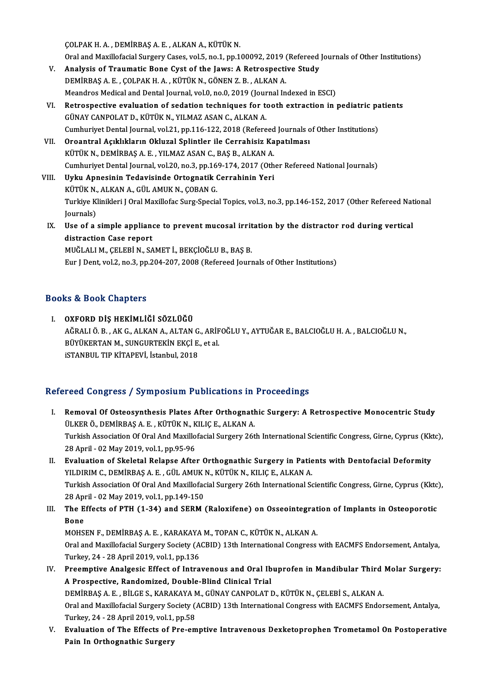ÇOLPAKH.A. ,DEMİRBAŞA.E. ,ALKANA.,KÜTÜKN.

Oral and Maxillofacial Surgery Cases, vol.5, no.1, pp.100092, 2019 (Refereed Journals of Other Institutions)

- COLPAK H. A., DEMIRBAŞ A. E., ALKAN A., KÜTÜK N.<br>Oral and Maxillofacial Surgery Cases, vol.5, no.1, pp.100092, 2019 (Refereed<br>V. Analysis of Traumatic Bone Cyst of the Jaws: A Retrospective Study<br>DEMIRAS A E. COLRAK H. A. Oral and Maxillofacial Surgery Cases, vol.5, no.1, pp.100092, 2019 (<br>Analysis of Traumatic Bone Cyst of the Jaws: A Retrospecti<br>DEMİRBAŞ A. E. , ÇOLPAK H. A. , KÜTÜK N., GÖNEN Z. B. , ALKAN A.<br>Meandres Medical and Dartal J DEMIRBAŞ A. E. , ÇOLPAK H. A. , KÜTÜK N., GÖNEN Z. B. , ALKAN A.<br>Meandros Medical and Dental Journal, vol.0, no.0, 2019 (Journal Indexed in ESCI)
- DEMIRBAŞ A. E. , ÇOLPAK H. A. , KÜTÜK N., GÖNEN Z. B. , ALKAN A.<br>Meandros Medical and Dental Journal, vol.0, no.0, 2019 (Journal Indexed in ESCI)<br>VI. Retrospective evaluation of sedation techniques for tooth extraction in GÜNAY CANPOLAT D., KÜTÜK N., YILMAZ ASAN C., ALKAN A.<br>Cumhuriyet Dental Journal, vol.21, pp.116-122, 2018 (Refereed Journals of Other Institutions) Retrospective evaluation of sedation techniques for tooth extraction in pediatric pa<br>GÜNAY CANPOLAT D., KÜTÜK N., YILMAZ ASAN C., ALKAN A.<br>Cumhuriyet Dental Journal, vol.21, pp.116-122, 2018 (Refereed Journals of Other Ins
- VII. Oroantral Açıklıkların Okluzal Splintler ile Cerrahisiz Kapatılması Cumhuriyet Dental Journal, vol.21, pp.116-122, 2018 (Refereed<br>Oroantral Açıklıkların Okluzal Splintler ile Cerrahisiz Ka<br>KÜTÜK N., DEMİRBAŞ A. E. , YILMAZ ASAN C., BAŞ B., ALKAN A.<br>Cumburiyet Dantal Journal vol.20, no.2, n Cumhuriyet Dental Journal, vol.20, no.3, pp.169-174, 2017 (Other Refereed National Journals)<br>Uyku Apnesinin Tedavisinde Ortognatik Cerrahinin Yeri KÜTÜK N., DEMİRBAŞ A. E. , YILMAZ ASAN C., BAŞ B., ALKAN A.<br>Cumhuriyet Dental Journal, vol.20, no.3, pp.169-174, 2017 (Oth<br>VIII. Uyku Apnesinin Tedavisinde Ortognatik Cerrahinin Yeri<br>VÜTÜK N. ALKAN A. GÜL AMIK N. GORAN G
- KÜTÜKN.,ALKANA.,GÜLAMUKN.,ÇOBANG. Uyku Apnesinin Tedavisinde Ortognatik Cerrahinin Yeri<br>KÜTÜK N., ALKAN A., GÜL AMUK N., ÇOBAN G.<br>Turkiye Klinikleri J Oral Maxillofac Surg-Special Topics, vol.3, no.3, pp.146-152, 2017 (Other Refereed National<br>Journale) KÜTÜK N.<br>Turkiye K.<br>Journals)<br>Hae of a Turkiye Klinikleri J Oral Maxillofac Surg-Special Topics, vol.3, no.3, pp.146-152, 2017 (Other Refereed Nat<br>Journals)<br>IX. Use of a simple appliance to prevent mucosal irritation by the distractor rod during vertical<br>distra
- Journals)<br>Use of a simple appliane<br>distraction Case report<br>MUČLALLM, CELERIN, SA Use of a simple appliance to prevent mucosal irrit<br>distraction Case report<br>MUĞLALI M., ÇELEBİ N., SAMET İ., BEKÇİOĞLU B., BAŞ B.<br>Eur LDent vel 2 no 2 np 204 207 2008 (Refereed Journ distraction Case report<br>MUĞLALI M., ÇELEBİ N., SAMET İ., BEKÇİOĞLU B., BAŞ B.<br>Eur J Dent, vol.2, no.3, pp.204-207, 2008 (Refereed Journals of Other Institutions)

### Books&Book Chapters

I. OXFORD DİŞ HEKİMLİĞİ SÖZLÜĞÜ LƏ LƏƏSK ƏMLPESTS<br>OXFORD DİŞ HEKİMLİĞİ SÖZLÜĞÜ<br>AĞRALI Ö. B., AK G., ALKAN A., ALTAN G., ARİFOĞLU Y., AYTUĞAR E., BALCIOĞLU H. A. , BALCIOĞLU N.,<br>PÜVÜKERTAN M. SUNCURTEKİN EKÇİ E. 91 SL OXFORD DİŞ HEKİMLİĞİ SÖZLÜĞÜ<br>AĞRALI Ö. B. , AK G., ALKAN A., ALTAN G., ARİF<br>BÜYÜKERTAN M., SUNGURTEKİN EKÇİ E., et al.<br>STANPUL TIP KİTAPEVİ, İstanbul 2018 AĞRALI Ö. B. , AK G., ALKAN A., ALTAN G<br>BÜYÜKERTAN M., SUNGURTEKİN EKÇİ E.<br>iSTANBUL TIP KİTAPEVİ, İstanbul, 2018

# iSTANBUL TIP KİTAPEVİ, İstanbul, 2018<br>Refereed Congress / Symposium Publications in Proceedings

- I. Removal Of Osteosynthesis Plates After Orthognathic Surgery: A Retrospective Monocentric Study ÜLKERÖ.,DEMİRBAŞA.E. ,KÜTÜKN.,KILIÇE.,ALKANA. Removal Of Osteosynthesis Plates After Orthognathic Surgery: A Retrospective Monocentric Study<br>ÜLKER Ö., DEMİRBAŞ A. E. , KÜTÜK N., KILIÇ E., ALKAN A.<br>Turkish Association Of Oral And Maxillofacial Surgery 26th Internationa ÜLKER Ö., DEMİRBAŞ A. E. , KÜTÜK N., K<br>Turkish Association Of Oral And Maxillo<br>28 April - 02 May 2019, vol.1, pp.95-96<br>Evaluation of Skalatal Balanse Afte Turkish Association Of Oral And Maxillofacial Surgery 26th International Scientific Congress, Girne, Cyprus (Kk<br>28 April - 02 May 2019, vol.1, pp.95-96<br>II. Evaluation of Skeletal Relapse After Orthognathic Surgery in Patie
- 28 April 02 May 2019, vol.1, pp.95-96<br><mark>Evaluation of Skeletal Relapse After Orthognathic Surgery in Patie</mark><br>YILDIRIM C., DEMİRBAŞ A. E. , GÜL AMUK N., KÜTÜK N., KILIÇ E., ALKAN A.<br>Turkish Association Of Oral And Mavillefa Evaluation of Skeletal Relapse After Orthognathic Surgery in Patients with Dentofacial Deformity<br>YILDIRIM C., DEMİRBAŞ A. E. , GÜL AMUK N., KÜTÜK N., KILIÇ E., ALKAN A.<br>Turkish Association Of Oral And Maxillofacial Surgery YILDIRIM C., DEMİRBAŞ A. E. , GÜL AMUK N., KÜTÜK N., KILIÇ E., ALKAN A.<br>Turkish Association Of Oral And Maxillofacial Surgery 26th International Scientific Congress, Girne, Cyprus (Kktc),<br>28 April - 02 May 2019, vol.1, pp. Turkish Association Of Oral And Maxillofacial Surgery 26th International Scientific Congress, Girne, Cyprus (Kktc)<br>28 April - 02 May 2019, vol.1, pp.149-150<br>III. The Effects of PTH (1-34) and SERM (Raloxifene) on Osseointe
- 28 Api<br>The E<br>Bone<br>MOHS The Effects of PTH (1-34) and SERM (Raloxifene) on Osseointegrat<br>Bone<br>MOHSEN F., DEMİRBAŞ A.E., KARAKAYA M., TOPAN C., KÜTÜK N., ALKAN A.<br>Oral and Mavillefacial Surgery Society (ACPID) 12th International Congress.

Bone<br>MOHSEN F., DEMİRBAŞ A. E. , KARAKAYA M., TOPAN C., KÜTÜK N., ALKAN A.<br>Oral and Maxillofacial Surgery Society (ACBID) 13th International Congress with EACMFS Endorsement, Antalya,<br>Turkay, 24, .28 April 2019, vol.1, pp. MOHSEN F., DEMİRBAŞ A. E. , KARAKAYA<br>Oral and Maxillofacial Surgery Society (A<br>Turkey, 24 - 28 April 2019, vol.1, pp.136<br>Preemptive Analsosia Effect of Intra Oral and Maxillofacial Surgery Society (ACBID) 13th International Congress with EACMFS Endorsement, Antalya,<br>Turkey, 24 - 28 April 2019, vol.1, pp.136<br>IV. Preemptive Analgesic Effect of Intravenous and Oral Ibuprofen in Ma

- Turkey, 24 28 April 2019, vol.1, pp.136<br>Preemptive Analgesic Effect of Intravenous and Oral Ib<br>A Prospective, Randomized, Double-Blind Clinical Trial IV. Preemptive Analgesic Effect of Intravenous and Oral Ibuprofen in Mandibular Third Molar Surgery: Oral and Maxillofacial Surgery Society (ACBID) 13th International Congress with EACMFS Endorsement, Antalya, DEMIRBAŞ A. E., BILGE S., KARAKAYA M., GÜNAY CANPOLAT D., KÜTÜK N., ÇELEBI S., ALKAN A. Turkey, 24 - 28 April 2019, vol.1, pp.58
- V. Evaluation of The Effects of Pre-emptive Intravenous Dexketoprophen Trometamol On Postoperative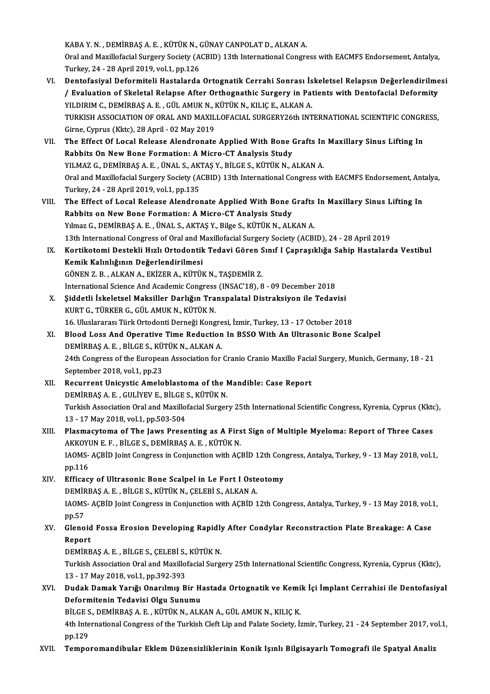KABAY.N. ,DEMİRBAŞA.E. ,KÜTÜKN.,GÜNAYCANPOLATD.,ALKANA. KABA Y. N. , DEMİRBAŞ A. E. , KÜTÜK N., GÜNAY CANPOLAT D., ALKAN A.<br>Oral and Maxillofacial Surgery Society (ACBID) 13th International Congress with EACMFS Endorsement, Antalya,<br>Turkay, 24, .28 April 2010, vol.1, pp.126 KABA Y. N. , DEMİRBAŞ A. E. , KÜTÜK N., (<br>Oral and Maxillofacial Surgery Society (A<br>Turkey, 24 - 28 April 2019, vol.1, pp.126<br>Pontafasiyal Doformiteli Hastalarda Oral and Maxillofacial Surgery Society (ACBID) 13th International Congress with EACMFS Endorsement, Antalya,<br>Turkey, 24 - 28 April 2019, vol.1, pp.126<br>VI. Dentofasiyal Deformiteli Hastalarda Ortognatik Cerrahi Sonrası İske

- Turkey, 24 28 April 2019, vol.1, pp.126<br>VI. Dentofasiyal Deformiteli Hastalarda Ortognatik Cerrahi Sonrası İskeletsel Relapsın Değerlendirilmesi<br>Y Evaluation of Skeletal Relapse After Orthognathic Surgery in Patients Dentofasiyal Deformiteli Hastalarda Ortognatik Cerrahi Sonrası İs<br>/ Evaluation of Skeletal Relapse After Orthognathic Surgery in Pat<br>YILDIRIM C., DEMİRBAŞ A. E. , GÜL AMUK N., KÜTÜK N., KILIÇ E., ALKAN A.<br>TURKISH ASSOCIATI TURKISH ASSOCIATION OF ORAL AND MAXILLOFACIAL SURGERY26th INTERNATIONAL SCIENTIFIC CONGRESS,<br>Girne, Cyprus (Kktc), 28 April - 02 May 2019 YILDIRIM C., DEMİRBAŞ A. E. , GÜL AMUK N., I<br>TURKISH ASSOCIATION OF ORAL AND MAXIL<br>Girne, Cyprus (Kktc), 28 April - 02 May 2019<br>The Effect Of Local Belease Alandronate TURKISH ASSOCIATION OF ORAL AND MAXILLOFACIAL SURGERY26th INTERNATIONAL SCIENTIFIC CONGR<br>Girne, Cyprus (Kktc), 28 April - 02 May 2019<br>VII. The Effect Of Local Release Alendronate Applied With Bone Grafts In Maxillary Sinus
- Rabbits On New Bone Formation: A Micro-CT Analysis Study The Effect Of Local Release Alendronate Applied With Bone Grafts In<br>Rabbits On New Bone Formation: A Micro-CT Analysis Study<br>YILMAZ G., DEMİRBAŞ A. E. , ÜNAL S., AKTAŞ Y., BİLGE S., KÜTÜK N., ALKAN A.<br>Oral and Mavillafasia Oral and Maxillofacial Surgery Society (ACBID) 13th International Congress with EACMFS Endorsement, Antalya,<br>Turkey, 24 - 28 April 2019, vol.1, pp.135 YILMAZ G., DEMİRBAŞ A. E., ÜNAL S., AKTAŞ Y., BİLGE S., KÜTÜK N., ALKAN A. Oral and Maxillofacial Surgery Society (ACBID) 13th International Congress with EACMFS Endorsement, Ant<br>Turkey, 24 - 28 April 2019, vol.1, pp.135<br>VIII. The Effect of Local Release Alendronate Applied With Bone Grafts In Ma
- Turkey, 24 28 April 2019, vol.1, pp.135<br>The Effect of Local Release Alendronate Applied With Bone (<br>Rabbits on New Bone Formation: A Micro-CT Analysis Study<br>Vilmes G. DEMIPPAS A E. UNALS, AKTAS V. Bilse S. KÜTÜK N. ALI The Effect of Local Release Alendronate Applied With Bone Grafts<br>Rabbits on New Bone Formation: A Micro-CT Analysis Study<br>Yılmaz G., DEMİRBAŞ A. E., ÜNAL S., AKTAŞ Y., Bilge S., KÜTÜK N., ALKAN A.<br>12th International Congre 13th InternationalCongress of Ormation: A Micro-CT Analysis Study<br>13th International Congress of Oral and Maxillofacial Surgery Society (ACBID), 24 - 28 April 2019<br>13th International Congress of Oral and Maxillofacial Surg Yılmaz G., DEMİRBAŞ A. E. , ÜNAL S., AKTAŞ Y., Bilge S., KÜTÜK N., ALKAN A.<br>13th International Congress of Oral and Maxillofacial Surgery Society (ACBID), 24 - 28 April 2019<br>IX. Kortikotomi Destekli Hızlı Ortodontik Te
- 13th International Congress of Oral and M<br>Kortikotomi Destekli Hızlı Ortodontik<br>Kemik Kalınlığının Değerlendirilmesi<br>CÖNEN 7-P ALIZAN A- EVİZER A- KÜTÜL Kortikotomi Destekli Hızlı Ortodontik Tedavi Gören S<br>Kemik Kalınlığının Değerlendirilmesi<br>GÖNEN Z. B., ALKAN A., EKİZER A., KÜTÜK N., TAŞDEMİR Z.<br>International Science Ard Asademis Congress (INSAC'19), 8 Kemik Kalınlığının Değerlendirilmesi<br>GÖNEN Z. B. , ALKAN A., EKİZER A., KÜTÜK N., TAŞDEMİR Z.<br>International Science And Academic Congress (INSAC'18), 8 - 09 December 2018<br>Siddetli İskeletsel Maksiller Darlığın Transpalatal GÖNEN Z. B. , ALKAN A., EKİZER A., KÜTÜK N., TAŞDEMİR Z.<br>International Science And Academic Congress (INSAC'18), 8 - 09 December 2018<br>X. Siddetli İskeletsel Maksiller Darlığın Transpalatal Distraksiyon ile Tedavisi
- Şiddetli İskeletsel Maksiller Darlığın Transpalatal Distraksiyon ile Tedavisi<br>KURT G., TÜRKER G., GÜL AMUK N., KÜTÜK N. Şiddetli İskeletsel Maksiller Darlığın Transpalatal Distraksiyon ile Tedavisi<br>KURT G., TÜRKER G., GÜL AMUK N., KÜTÜK N.<br>16. Uluslararası Türk Ortodonti Derneği Kongresi, İzmir, Turkey, 13 - 17 October 2018<br>Plaad Lass And O
- XI. Blood Loss And Operative Time Reduction In BSSOWith An Ultrasonic Bone Scalpel 16. Uluslararası Türk Ortodonti Derneği Kongre<br>Blood Loss And Operative Time Reduction<br>DEMİRBAŞ A. E. , BİLGE S., KÜTÜK N., ALKAN A.<br>24th Congress of the Euronean Association for 24th Congress of the European Association for Cranio Cranio Maxillo Facial Surgery, Munich, Germany, 18 - 21<br>September 2018, vol.1, pp.23 DEMİRBAŞ A.E., BİLGE S., KÜTÜK N., ALKAN A. 24th Congress of the European Association for Cranio Cranio Maxillo Facia<br>September 2018, vol.1, pp.23<br>XII. Recurrent Unicystic Ameloblastoma of the Mandible: Case Report<br>DEMIPPAS A. E. CULIVEVE BUCES KÜTÜK N
- September 2018, vol.1, pp.23<br>Recurrent Unicystic Ameloblastoma of the l<br>DEMİRBAŞ A. E. , GULİYEV E., BİLGE S., KÜTÜK N.<br>Turkish Assosiation Oral and Mavillafasial Surson Turkish Association Oral and Maxillofacial Surgery 25th International Scientific Congress, Kyrenia, Cyprus (Kktc),<br>13 - 17 May 2018, vol.1, pp.503-504 DEMİRBAŞ A. E., GULİYEV E., BİLGE S., KÜTÜK N. Turkish Association Oral and Maxillofacial Surgery 25th International Scientific Congress, Kyrenia, Cyprus (Kkto<br>13 - 17 May 2018, vol.1, pp.503-504<br>XIII. Plasmacytoma of The Jaws Presenting as A First Sign of Multiple Mye

## 13 - 17 May 2018, vol.1, pp.503-504<br>Plasmacytoma of The Jaws Presenting as A Firs<br>AKKOYUN E. F. , BİLGE S., DEMİRBAŞ A. E. , KÜTÜK N.<br>JAOMS, ACPİD Joint Congress in Conjungtion with AC Plasmacytoma of The Jaws Presenting as A First Sign of Multiple Myeloma: Report of Three Cases<br>AKKOYUN E. F. , BİLGE S., DEMİRBAŞ A. E. , KÜTÜK N.<br>IAOMS- AÇBİD Joint Congress in Conjunction with AÇBİD 12th Congress, Antaly AKKOYU<br>IAOMS-<br>pp.116 IAOMS-AÇBİD Joint Congress in Conjunction with AÇBİD 12th Con<br>pp.116<br>XIV. Efficacy of Ultrasonic Bone Scalpel in Le Fort I Osteotomy<br>pemippas a E plices wüttiv N celepis al KAN A

pp.116<br>Efficacy of Ultrasonic Bone Scalpel in Le Fort I Oste<br>DEMİRBAŞ A. E. , BİLGE S., KÜTÜK N., ÇELEBİ S., ALKAN A.<br>JAOMS, ACPİD Joint Congress in Conjunction with ACPİD 1 IAOMS-AÇBİD Joint Congress in Conjunction with AÇBİD 12th Congress, Antalya, Turkey, 9 - 13 May 2018, vol.1, pp.57 DEMIRBAŞ A. E., BİLGE S., KÜTÜK N., ÇELEBİ S., ALKAN A. IAOMS- AÇBİD Joint Congress in Conjunction with AÇBİD 12th Congress, Antalya, Turkey, 9 - 13 May 2018, vol.:<br>pp.57<br>XV. Glenoid Fossa Erosion Developing Rapidly After Condylar Reconstraction Plate Breakage: A Case

## pp.57<br>Glenoid<br>Report<br>DEMipp Glenoid Fossa Erosion Developing Rapidly<br>Report<br>DEMİRBAŞ A.E., BİLGE S., ÇELEBİ S., KÜTÜK N.<br>Turkich Assosiation Oral and Mavillefasial Surg.

DEMIRBAŞ A.E., BİLGE S., ÇELEBİ S., KÜTÜK N.

Report<br>DEMİRBAŞ A. E. , BİLGE S., ÇELEBİ S., KÜTÜK N.<br>Turkish Association Oral and Maxillofacial Surgery 25th International Scientific Congress, Kyrenia, Cyprus (Kktc),<br>13 - 17 Mav 2018, vol.1, pp.392-393 Turkish Association Oral and Maxillofacial Surgery 25th International Scientific Congress, Kyrenia, Cyprus (Kktc),<br>13 - 17 May 2018, vol.1, pp.392-393<br>XVI. Dudak Damak Yarığı Onarılmış Bir Hastada Ortognatik ve Kemik İ

## 13 - 17 May 2018, vol.1, pp.392-393<br>Dudak Damak Yarığı Onarılmış Bir H.<br>Deformitenin Tedavisi Olgu Sunumu<br>Pit CES DEMİPPASA E. KüTÜKN ALK Dudak Damak Yarığı Onarılmış Bir Hastada Ortognatik ve Kemi<br>Deformitenin Tedavisi Olgu Sunumu<br>BİLGE S., DEMİRBAŞ A. E. , KÜTÜK N., ALKAN A., GÜL AMUK N., KILIÇ K.<br>4th International Congress of the Turkish Cleft Lin and Pel

Deformitenin Tedavisi Olgu Sunumu<br>BİLGE S., DEMİRBAŞ A. E. , KÜTÜK N., ALKAN A., GÜL AMUK N., KILIÇ K.<br>4th International Congress of the Turkish Cleft Lip and Palate Society, İzmir, Turkey, 21 - 24 September 2017, vol.1,<br>p BİLGE S<br>4th Inte<br>pp.129<br>Tempe

## XVII. Temporomandibular Eklem Düzensizliklerinin Konik Işınlı Bilgisayarlı Tomografi ile Spatyal Analiz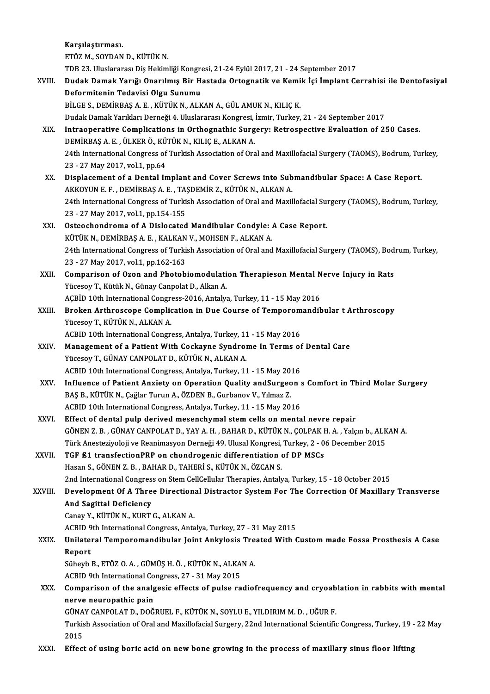Karşılaştırması.

Karşılaştırması.<br>ETÖZ M., SOYDAN D., KÜTÜK N.<br>TDB 23. Uluslararası Diş Hekimliği Kongresi, 21-24 Eylül 2017, 21 - 24 September 2017<br>Pudak Ramak Yanığı Onanılmış Bir Hastada Ontagnatik ve Kamik İsi İmplant Ge

|              | ETÖZ M., SOYDAN D., KÜTÜK N.                                                                                                                                                                     |
|--------------|--------------------------------------------------------------------------------------------------------------------------------------------------------------------------------------------------|
|              | TDB 23. Uluslararası Diş Hekimliği Kongresi, 21-24 Eylül 2017, 21 - 24 September 2017                                                                                                            |
| XVIII.       | Dudak Damak Yarığı Onarılmış Bir Hastada Ortognatik ve Kemik İçi İmplant Cerrahisi ile Dentofasiyal                                                                                              |
|              | Deformitenin Tedavisi Olgu Sunumu                                                                                                                                                                |
|              | BİLGE S., DEMİRBAŞ A. E., KÜTÜK N., ALKAN A., GÜL AMUK N., KILIÇ K.                                                                                                                              |
|              | Dudak Damak Yarıkları Derneği 4. Uluslararası Kongresi, İzmir, Turkey, 21 - 24 September 2017                                                                                                    |
| XIX.         | Intraoperative Complications in Orthognathic Surgery: Retrospective Evaluation of 250 Cases.                                                                                                     |
|              | DEMİRBAŞ A.E., ÜLKER Ö., KÜTÜK N., KILIÇ E., ALKAN A.                                                                                                                                            |
|              | 24th International Congress of Turkish Association of Oral and Maxillofacial Surgery (TAOMS), Bodrum, Turkey,                                                                                    |
|              | 23 - 27 May 2017, vol 1, pp 64                                                                                                                                                                   |
| XX.          | Displacement of a Dental Implant and Cover Screws into Submandibular Space: A Case Report.                                                                                                       |
|              | AKKOYUN E.F., DEMİRBAŞ A. E., TAŞDEMİR Z., KÜTÜK N., ALKAN A.                                                                                                                                    |
|              | 24th International Congress of Turkish Association of Oral and Maxillofacial Surgery (TAOMS), Bodrum, Turkey,                                                                                    |
|              | 23 - 27 May 2017, vol.1, pp.154-155                                                                                                                                                              |
| XXI.         | Osteochondroma of A Dislocated Mandibular Condyle: A Case Report.                                                                                                                                |
|              | KÜTÜK N., DEMİRBAŞ A. E., KALKAN V., MOHSEN F., ALKAN A.                                                                                                                                         |
|              | 24th International Congress of Turkish Association of Oral and Maxillofacial Surgery (TAOMS), Bodrum, Turkey,                                                                                    |
|              | 23 - 27 May 2017, vol 1, pp 162-163                                                                                                                                                              |
| XXII.        | Comparison of Ozon and Photobiomodulation Therapieson Mental Nerve Injury in Rats                                                                                                                |
|              | Yücesoy T., Kütük N., Günay Canpolat D., Alkan A.                                                                                                                                                |
|              | AÇBİD 10th International Congress-2016, Antalya, Turkey, 11 - 15 May 2016                                                                                                                        |
| XXIII.       | Broken Arthroscope Complication in Due Course of Temporomandibular t Arthroscopy                                                                                                                 |
|              | Yücesoy T., KÜTÜK N., ALKAN A.                                                                                                                                                                   |
|              | ACBID 10th International Congress, Antalya, Turkey, 11 - 15 May 2016                                                                                                                             |
| <b>XXIV</b>  | Management of a Patient With Cockayne Syndrome In Terms of Dental Care                                                                                                                           |
|              | Yücesoy T., GÜNAY CANPOLAT D., KÜTÜK N., ALKAN A.                                                                                                                                                |
|              | ACBID 10th International Congress, Antalya, Turkey, 11 - 15 May 2016                                                                                                                             |
| XXV.         | Influence of Patient Anxiety on Operation Quality and Surgeon s Comfort in Third Molar Surgery                                                                                                   |
|              | BAŞ B., KÜTÜK N., Çağlar Turun A., ÖZDEN B., Gurbanov V., Yılmaz Z.                                                                                                                              |
|              | ACBID 10th International Congress, Antalya, Turkey, 11 - 15 May 2016                                                                                                                             |
| XXVI.        | Effect of dental pulp derived mesenchymal stem cells on mental nevre repair                                                                                                                      |
|              | GÖNEN Z. B., GÜNAY CANPOLAT D., YAY A. H., BAHAR D., KÜTÜK N., ÇOLPAK H. A., Yalçın b., ALKAN A.                                                                                                 |
|              | Türk Anesteziyoloji ve Reanimasyon Derneği 49. Ulusal Kongresi, Turkey, 2 - 06 December 2015                                                                                                     |
| <b>XXVII</b> | TGF ß1 transfectionPRP on chondrogenic differentiation of DP MSCs                                                                                                                                |
|              | Hasan S., GÖNEN Z. B., BAHAR D., TAHERİ S., KÜTÜK N., ÖZCAN S.                                                                                                                                   |
|              | 2nd International Congress on Stem CellCellular Therapies, Antalya, Turkey, 15 - 18 October 2015                                                                                                 |
| XXVIII.      | Development Of A Three Directional Distractor System For The Correction Of Maxillary Transverse                                                                                                  |
|              | And Sagittal Deficiency                                                                                                                                                                          |
|              | Canay Y., KÜTÜK N., KURT G., ALKAN A.                                                                                                                                                            |
|              | ACBID 9th International Congress, Antalya, Turkey, 27 - 31 May 2015                                                                                                                              |
| <b>XXIX</b>  | Unilateral Temporomandibular Joint Ankylosis Treated With Custom made Fossa Prosthesis A Case                                                                                                    |
|              | Report                                                                                                                                                                                           |
|              | Süheyb B., ETÖZ O. A., GÜMÜŞ H. Ö., KÜTÜK N., ALKAN A.                                                                                                                                           |
|              | ACBID 9th International Congress, 27 - 31 May 2015                                                                                                                                               |
| XXX.         | Comparison of the analgesic effects of pulse radiofrequency and cryoablation in rabbits with mental                                                                                              |
|              | nerve neuropathic pain                                                                                                                                                                           |
|              | GÜNAY CANPOLAT D., DOĞRUEL F., KÜTÜK N., SOYLU E., YILDIRIM M. D., UĞUR F.<br>Turkish Association of Oral and Maxillofacial Surgery, 22nd International Scientific Congress, Turkey, 19 - 22 May |
|              | 2015                                                                                                                                                                                             |
| XXXI.        | Effect of using boric acid on new bone growing in the process of maxillary sinus floor lifting                                                                                                   |
|              |                                                                                                                                                                                                  |